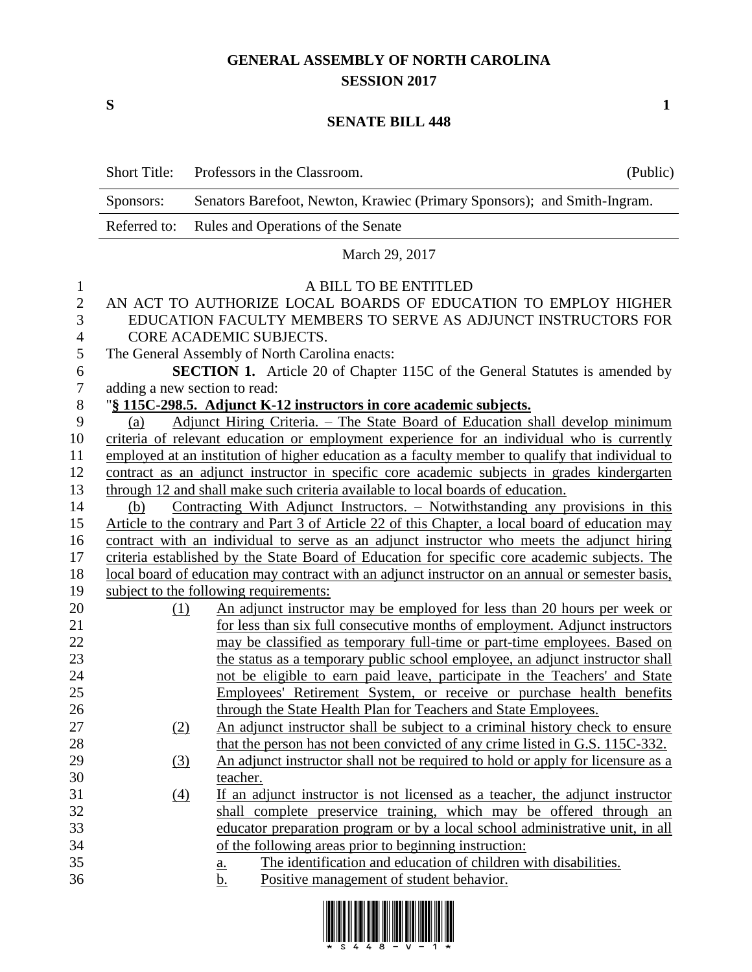## **GENERAL ASSEMBLY OF NORTH CAROLINA SESSION 2017**

**S 1**

## **SENATE BILL 448**

|                | <b>Short Title:</b>                                                                              | Professors in the Classroom.                                                    | (Public) |  |  |
|----------------|--------------------------------------------------------------------------------------------------|---------------------------------------------------------------------------------|----------|--|--|
|                | Sponsors:                                                                                        | Senators Barefoot, Newton, Krawiec (Primary Sponsors); and Smith-Ingram.        |          |  |  |
|                | Referred to:                                                                                     | Rules and Operations of the Senate                                              |          |  |  |
|                | March 29, 2017                                                                                   |                                                                                 |          |  |  |
| 1              | A BILL TO BE ENTITLED                                                                            |                                                                                 |          |  |  |
| $\mathbf{2}$   | AN ACT TO AUTHORIZE LOCAL BOARDS OF EDUCATION TO EMPLOY HIGHER                                   |                                                                                 |          |  |  |
| 3              | EDUCATION FACULTY MEMBERS TO SERVE AS ADJUNCT INSTRUCTORS FOR                                    |                                                                                 |          |  |  |
| $\overline{4}$ | CORE ACADEMIC SUBJECTS.                                                                          |                                                                                 |          |  |  |
| 5              | The General Assembly of North Carolina enacts:                                                   |                                                                                 |          |  |  |
| 6              | SECTION 1. Article 20 of Chapter 115C of the General Statutes is amended by                      |                                                                                 |          |  |  |
| 7              | adding a new section to read:                                                                    |                                                                                 |          |  |  |
| $8\phantom{1}$ | "§ 115C-298.5. Adjunct K-12 instructors in core academic subjects.                               |                                                                                 |          |  |  |
| 9              | Adjunct Hiring Criteria. - The State Board of Education shall develop minimum<br>(a)             |                                                                                 |          |  |  |
| 10             | criteria of relevant education or employment experience for an individual who is currently       |                                                                                 |          |  |  |
| 11             | employed at an institution of higher education as a faculty member to qualify that individual to |                                                                                 |          |  |  |
| 12             | contract as an adjunct instructor in specific core academic subjects in grades kindergarten      |                                                                                 |          |  |  |
| 13             | through 12 and shall make such criteria available to local boards of education.                  |                                                                                 |          |  |  |
| 14             | Contracting With Adjunct Instructors. – Notwithstanding any provisions in this<br>(b)            |                                                                                 |          |  |  |
| 15             | Article to the contrary and Part 3 of Article 22 of this Chapter, a local board of education may |                                                                                 |          |  |  |
| 16             | contract with an individual to serve as an adjunct instructor who meets the adjunct hiring       |                                                                                 |          |  |  |
| 17             | criteria established by the State Board of Education for specific core academic subjects. The    |                                                                                 |          |  |  |
| 18             | local board of education may contract with an adjunct instructor on an annual or semester basis, |                                                                                 |          |  |  |
| 19             |                                                                                                  | subject to the following requirements:                                          |          |  |  |
| 20             | (1)                                                                                              | An adjunct instructor may be employed for less than 20 hours per week or        |          |  |  |
| 21             |                                                                                                  | for less than six full consecutive months of employment. Adjunct instructors    |          |  |  |
| 22             |                                                                                                  | may be classified as temporary full-time or part-time employees. Based on       |          |  |  |
| 23             |                                                                                                  | the status as a temporary public school employee, an adjunct instructor shall   |          |  |  |
| 24             |                                                                                                  | not be eligible to earn paid leave, participate in the Teachers' and State      |          |  |  |
| 25             |                                                                                                  | Employees' Retirement System, or receive or purchase health benefits            |          |  |  |
| 26             |                                                                                                  | through the State Health Plan for Teachers and State Employees.                 |          |  |  |
| 27             | (2)                                                                                              | An adjunct instructor shall be subject to a criminal history check to ensure    |          |  |  |
| 28             |                                                                                                  | that the person has not been convicted of any crime listed in G.S. 115C-332.    |          |  |  |
| 29             | (3)                                                                                              | An adjunct instructor shall not be required to hold or apply for licensure as a |          |  |  |
| 30             |                                                                                                  | teacher.                                                                        |          |  |  |
| 31             | $\Delta$                                                                                         | If an adjunct instructor is not licensed as a teacher, the adjunct instructor   |          |  |  |
| 32             |                                                                                                  | shall complete preservice training, which may be offered through an             |          |  |  |
| 33             |                                                                                                  | educator preparation program or by a local school administrative unit, in all   |          |  |  |
| 34             |                                                                                                  | of the following areas prior to beginning instruction:                          |          |  |  |
| 35             |                                                                                                  | The identification and education of children with disabilities.<br>a.           |          |  |  |
| 36             |                                                                                                  | Positive management of student behavior.<br><u>b.</u>                           |          |  |  |
|                |                                                                                                  |                                                                                 |          |  |  |